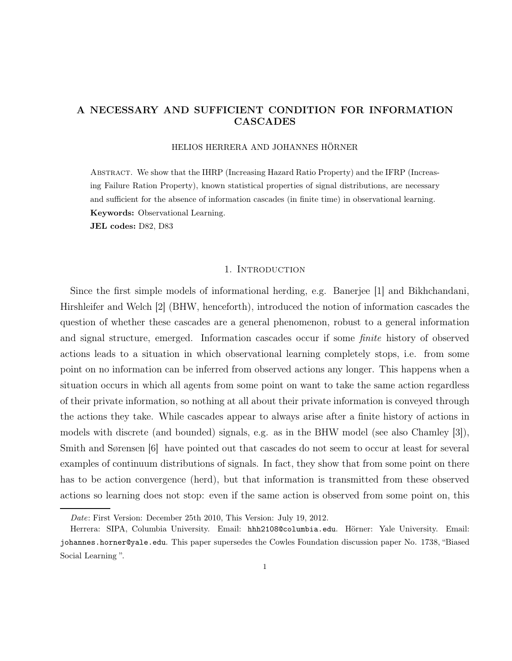# A NECESSARY AND SUFFICIENT CONDITION FOR INFORMATION CASCADES

## HELIOS HERRERA AND JOHANNES HÖRNER

Abstract. We show that the IHRP (Increasing Hazard Ratio Property) and the IFRP (Increasing Failure Ration Property), known statistical properties of signal distributions, are necessary and sufficient for the absence of information cascades (in finite time) in observational learning. Keywords: Observational Learning.

JEL codes: D82, D83

## 1. Introduction

Since the first simple models of informational herding, e.g. Banerjee [1] and Bikhchandani, Hirshleifer and Welch [2] (BHW, henceforth), introduced the notion of information cascades the question of whether these cascades are a general phenomenon, robust to a general information and signal structure, emerged. Information cascades occur if some finite history of observed actions leads to a situation in which observational learning completely stops, i.e. from some point on no information can be inferred from observed actions any longer. This happens when a situation occurs in which all agents from some point on want to take the same action regardless of their private information, so nothing at all about their private information is conveyed through the actions they take. While cascades appear to always arise after a finite history of actions in models with discrete (and bounded) signals, e.g. as in the BHW model (see also Chamley [3]), Smith and Sørensen [6] have pointed out that cascades do not seem to occur at least for several examples of continuum distributions of signals. In fact, they show that from some point on there has to be action convergence (herd), but that information is transmitted from these observed actions so learning does not stop: even if the same action is observed from some point on, this

Date: First Version: December 25th 2010, This Version: July 19, 2012.

Herrera: SIPA, Columbia University. Email: hhh2108@columbia.edu. Hörner: Yale University. Email: johannes.horner@yale.edu. This paper supersedes the Cowles Foundation discussion paper No. 1738, "Biased Social Learning ".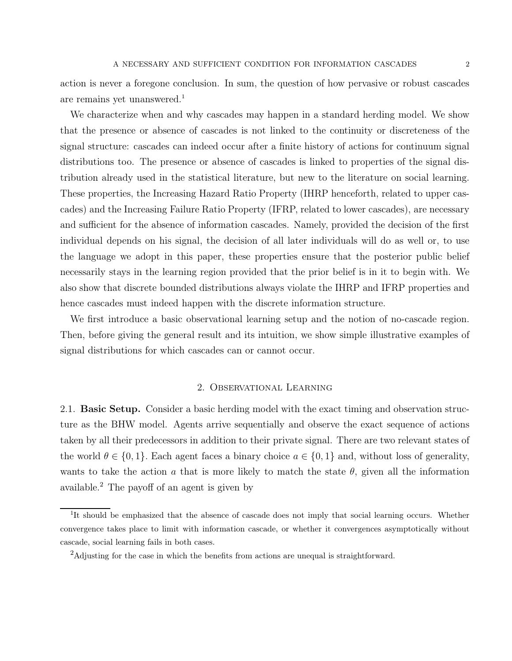action is never a foregone conclusion. In sum, the question of how pervasive or robust cascades are remains yet unanswered.<sup>1</sup>

We characterize when and why cascades may happen in a standard herding model. We show that the presence or absence of cascades is not linked to the continuity or discreteness of the signal structure: cascades can indeed occur after a finite history of actions for continuum signal distributions too. The presence or absence of cascades is linked to properties of the signal distribution already used in the statistical literature, but new to the literature on social learning. These properties, the Increasing Hazard Ratio Property (IHRP henceforth, related to upper cascades) and the Increasing Failure Ratio Property (IFRP, related to lower cascades), are necessary and sufficient for the absence of information cascades. Namely, provided the decision of the first individual depends on his signal, the decision of all later individuals will do as well or, to use the language we adopt in this paper, these properties ensure that the posterior public belief necessarily stays in the learning region provided that the prior belief is in it to begin with. We also show that discrete bounded distributions always violate the IHRP and IFRP properties and hence cascades must indeed happen with the discrete information structure.

We first introduce a basic observational learning setup and the notion of no-cascade region. Then, before giving the general result and its intuition, we show simple illustrative examples of signal distributions for which cascades can or cannot occur.

# 2. Observational Learning

2.1. Basic Setup. Consider a basic herding model with the exact timing and observation structure as the BHW model. Agents arrive sequentially and observe the exact sequence of actions taken by all their predecessors in addition to their private signal. There are two relevant states of the world  $\theta \in \{0, 1\}$ . Each agent faces a binary choice  $a \in \{0, 1\}$  and, without loss of generality, wants to take the action a that is more likely to match the state  $\theta$ , given all the information available.<sup>2</sup> The payoff of an agent is given by

<sup>&</sup>lt;sup>1</sup>It should be emphasized that the absence of cascade does not imply that social learning occurs. Whether convergence takes place to limit with information cascade, or whether it convergences asymptotically without cascade, social learning fails in both cases.

<sup>2</sup>Adjusting for the case in which the benefits from actions are unequal is straightforward.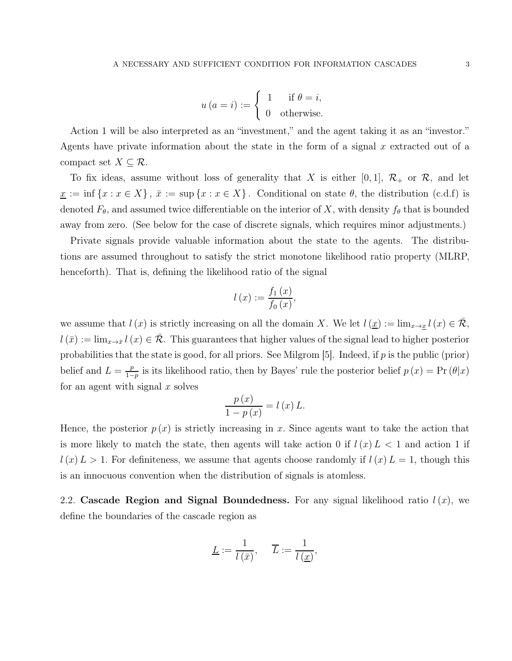$$
u(a = i) := \begin{cases} 1 & \text{if } \theta = i, \\ 0 & \text{otherwise.} \end{cases}
$$

Action 1 will be also interpreted as an "investment," and the agent taking it as an "investor." Agents have private information about the state in the form of a signal  $x$  extracted out of a compact set  $X \subseteq \mathcal{R}$ .

To fix ideas, assume without loss of generality that X is either [0, 1],  $\mathcal{R}_+$  or  $\mathcal{R}$ , and let  $\underline{x} := \inf \{x : x \in X\}, \overline{x} := \sup \{x : x \in X\}.$  Conditional on state  $\theta$ , the distribution (c.d.f) is denoted  $F_{\theta}$ , and assumed twice differentiable on the interior of X, with density  $f_{\theta}$  that is bounded away from zero. (See below for the case of discrete signals, which requires minor adjustments.)

Private signals provide valuable information about the state to the agents. The distributions are assumed throughout to satisfy the strict monotone likelihood ratio property (MLRP, henceforth). That is, defining the likelihood ratio of the signal

$$
l\left(x\right) := \frac{f_1\left(x\right)}{f_0\left(x\right)},
$$

we assume that  $l(x)$  is strictly increasing on all the domain X. We let  $l(\underline{x}) := \lim_{x \to \underline{x}} l(x) \in \overline{\mathcal{R}}$ ,  $l(\bar{x}) := \lim_{x\to\bar{x}} l(x) \in \mathcal{R}$ . This guarantees that higher values of the signal lead to higher posterior probabilities that the state is good, for all priors. See Milgrom [5]. Indeed, if  $p$  is the public (prior) belief and  $L = \frac{p}{1-p}$  $\frac{p}{1-p}$  is its likelihood ratio, then by Bayes' rule the posterior belief  $p(x) = \Pr(\theta|x)$ for an agent with signal  $x$  solves

$$
\frac{p(x)}{1-p(x)} = l(x) L.
$$

Hence, the posterior  $p(x)$  is strictly increasing in x. Since agents want to take the action that is more likely to match the state, then agents will take action 0 if  $l(x) L < 1$  and action 1 if  $l(x) L > 1$ . For definiteness, we assume that agents choose randomly if  $l(x) L = 1$ , though this is an innocuous convention when the distribution of signals is atomless.

2.2. Cascade Region and Signal Boundedness. For any signal likelihood ratio  $l(x)$ , we define the boundaries of the cascade region as

$$
\underline{L} := \frac{1}{l(\bar{x})}, \quad \overline{L} := \frac{1}{l(\underline{x})},
$$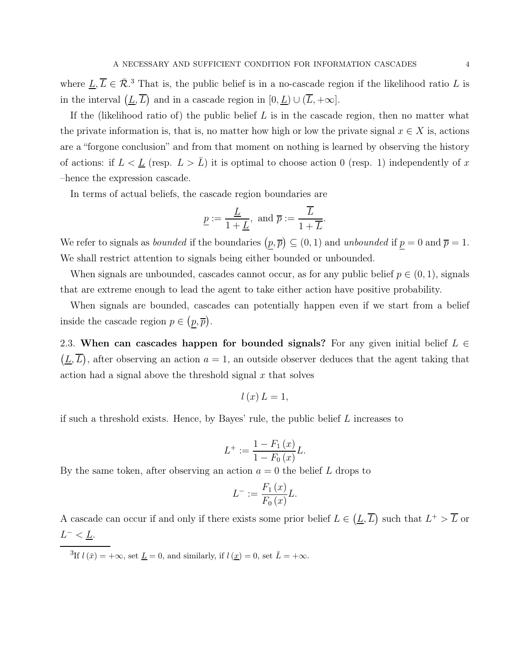where  $\underline{L}, \overline{L} \in \overline{\mathcal{R}}$ .<sup>3</sup> That is, the public belief is in a no-cascade region if the likelihood ratio L is in the interval  $(\underline{L}, \overline{L})$  and in a cascade region in  $[0, \underline{L}) \cup (\overline{L}, +\infty]$ .

If the (likelihood ratio of) the public belief  $L$  is in the cascade region, then no matter what the private information is, that is, no matter how high or low the private signal  $x \in X$  is, actions are a "forgone conclusion" and from that moment on nothing is learned by observing the history of actions: if  $L < \underline{L}$  (resp.  $L > \overline{L}$ ) it is optimal to choose action 0 (resp. 1) independently of x –hence the expression cascade.

In terms of actual beliefs, the cascade region boundaries are

$$
\underline{p} := \frac{\underline{L}}{1 + \underline{L}}, \text{ and } \overline{p} := \frac{\overline{L}}{1 + \overline{L}}.
$$

We refer to signals as *bounded* if the boundaries  $(p, \overline{p}) \subseteq (0, 1)$  and *unbounded* if  $p = 0$  and  $\overline{p} = 1$ . We shall restrict attention to signals being either bounded or unbounded.

When signals are unbounded, cascades cannot occur, as for any public belief  $p \in (0, 1)$ , signals that are extreme enough to lead the agent to take either action have positive probability.

When signals are bounded, cascades can potentially happen even if we start from a belief inside the cascade region  $p \in (p, \overline{p})$ .

2.3. When can cascades happen for bounded signals? For any given initial belief  $L \in$  $(\underline{L}, \overline{L})$ , after observing an action  $a = 1$ , an outside observer deduces that the agent taking that action had a signal above the threshold signal  $x$  that solves

$$
l\left( x\right) L=1,
$$

if such a threshold exists. Hence, by Bayes' rule, the public belief  $L$  increases to

$$
L^{+} := \frac{1 - F_1(x)}{1 - F_0(x)}L.
$$

By the same token, after observing an action  $a = 0$  the belief L drops to

$$
L^{-} := \frac{F_1(x)}{F_0(x)}L.
$$

A cascade can occur if and only if there exists some prior belief  $L \in (\underline{L}, \overline{L})$  such that  $L^+ > \overline{L}$  or  $L^- < \underline{L}$ .

<sup>3</sup>If  $l(\bar{x}) = +\infty$ , set  $\underline{L} = 0$ , and similarly, if  $l(\underline{x}) = 0$ , set  $\overline{L} = +\infty$ .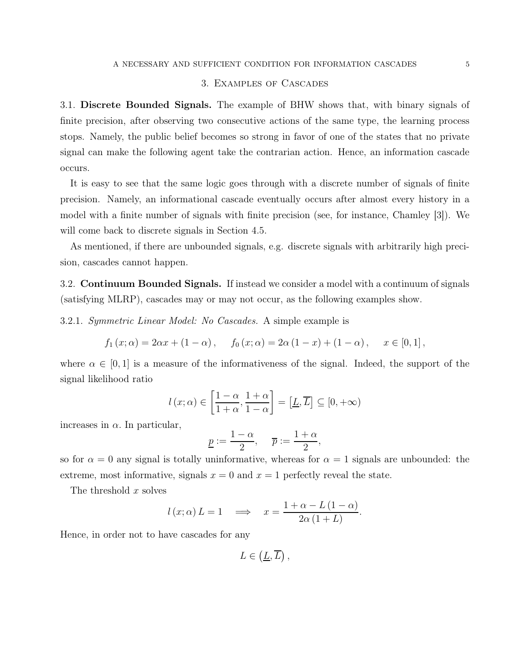# 3. Examples of Cascades

3.1. Discrete Bounded Signals. The example of BHW shows that, with binary signals of finite precision, after observing two consecutive actions of the same type, the learning process stops. Namely, the public belief becomes so strong in favor of one of the states that no private signal can make the following agent take the contrarian action. Hence, an information cascade occurs.

It is easy to see that the same logic goes through with a discrete number of signals of finite precision. Namely, an informational cascade eventually occurs after almost every history in a model with a finite number of signals with finite precision (see, for instance, Chamley [3]). We will come back to discrete signals in Section 4.5.

As mentioned, if there are unbounded signals, e.g. discrete signals with arbitrarily high precision, cascades cannot happen.

3.2. Continuum Bounded Signals. If instead we consider a model with a continuum of signals (satisfying MLRP), cascades may or may not occur, as the following examples show.

3.2.1. Symmetric Linear Model: No Cascades. A simple example is

$$
f_1(x; \alpha) = 2\alpha x + (1 - \alpha),
$$
  $f_0(x; \alpha) = 2\alpha (1 - x) + (1 - \alpha),$   $x \in [0, 1],$ 

where  $\alpha \in [0,1]$  is a measure of the informativeness of the signal. Indeed, the support of the signal likelihood ratio

$$
l(x; \alpha) \in \left[\frac{1-\alpha}{1+\alpha}, \frac{1+\alpha}{1-\alpha}\right] = \left[\underline{L}, \overline{L}\right] \subseteq [0, +\infty)
$$

increases in  $\alpha$ . In particular,

$$
\underline{p} := \frac{1-\alpha}{2}, \quad \overline{p} := \frac{1+\alpha}{2},
$$

so for  $\alpha = 0$  any signal is totally uninformative, whereas for  $\alpha = 1$  signals are unbounded: the extreme, most informative, signals  $x = 0$  and  $x = 1$  perfectly reveal the state.

The threshold x solves

$$
l(x; \alpha) L = 1 \implies x = \frac{1 + \alpha - L(1 - \alpha)}{2\alpha(1 + L)}.
$$

Hence, in order not to have cascades for any

 $L \in (\underline{L}, \overline{L})$ ,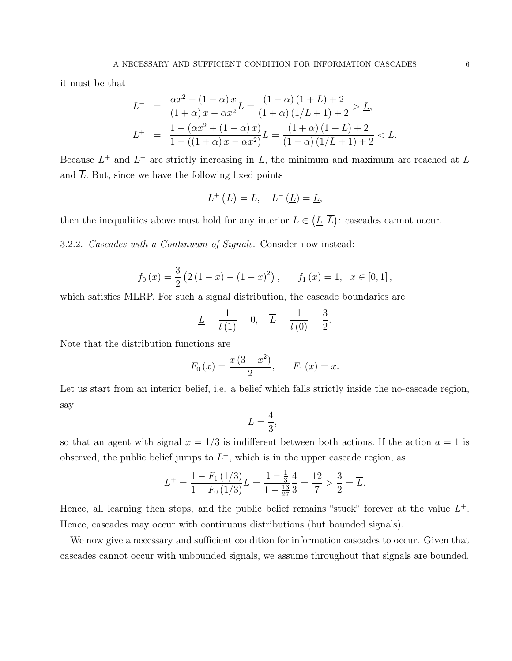it must be that

$$
L^{-} = \frac{\alpha x^{2} + (1 - \alpha) x}{(1 + \alpha) x - \alpha x^{2}} L = \frac{(1 - \alpha) (1 + L) + 2}{(1 + \alpha) (1/L + 1) + 2} > \underline{L},
$$
  
\n
$$
L^{+} = \frac{1 - (\alpha x^{2} + (1 - \alpha) x)}{1 - ((1 + \alpha) x - \alpha x^{2})} L = \frac{(1 + \alpha) (1 + L) + 2}{(1 - \alpha) (1/L + 1) + 2} < \overline{L}.
$$

Because  $L^+$  and  $L^-$  are strictly increasing in L, the minimum and maximum are reached at  $\underline{L}$ and  $\overline{L}$ . But, since we have the following fixed points

$$
L^{+}(\overline{L}) = \overline{L}, \quad L^{-}(\underline{L}) = \underline{L},
$$

then the inequalities above must hold for any interior  $L \in (\underline{L}, \overline{L})$ : cascades cannot occur.

3.2.2. Cascades with a Continuum of Signals. Consider now instead:

$$
f_0(x) = \frac{3}{2} (2 (1 - x) - (1 - x)^2),
$$
  $f_1(x) = 1, x \in [0, 1],$ 

which satisfies MLRP. For such a signal distribution, the cascade boundaries are

$$
\underline{L} = \frac{1}{l(1)} = 0, \quad \overline{L} = \frac{1}{l(0)} = \frac{3}{2}.
$$

Note that the distribution functions are

$$
F_0(x) = \frac{x(3-x^2)}{2}
$$
,  $F_1(x) = x$ .

Let us start from an interior belief, i.e. a belief which falls strictly inside the no-cascade region, say

$$
L=\frac{4}{3},
$$

so that an agent with signal  $x = 1/3$  is indifferent between both actions. If the action  $a = 1$  is observed, the public belief jumps to  $L^+$ , which is in the upper cascade region, as

$$
L^{+} = \frac{1 - F_1(1/3)}{1 - F_0(1/3)}L = \frac{1 - \frac{1}{3}}{1 - \frac{13}{27}}\frac{4}{3} = \frac{12}{7} > \frac{3}{2} = \overline{L}.
$$

Hence, all learning then stops, and the public belief remains "stuck" forever at the value  $L^+$ . Hence, cascades may occur with continuous distributions (but bounded signals).

We now give a necessary and sufficient condition for information cascades to occur. Given that cascades cannot occur with unbounded signals, we assume throughout that signals are bounded.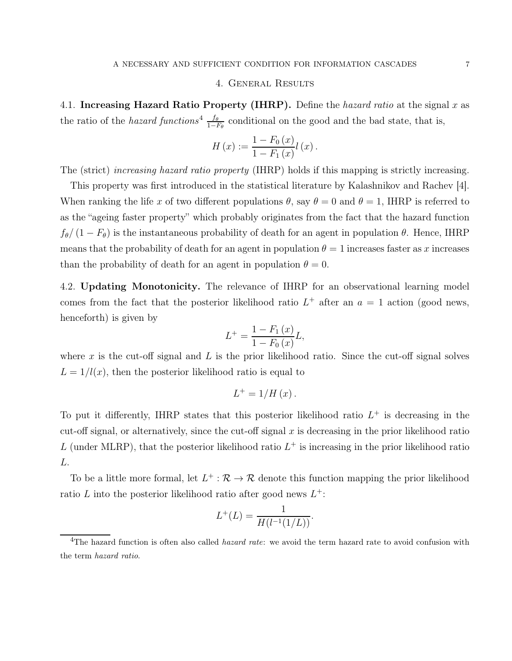## 4. General Results

4.1. Increasing Hazard Ratio Property (IHRP). Define the hazard ratio at the signal  $x$  as the ratio of the *hazard functions*<sup>4</sup>  $\frac{f_{\theta}}{1-F_{\theta}}$  conditional on the good and the bad state, that is,

$$
H(x) := \frac{1 - F_0(x)}{1 - F_1(x)} l(x).
$$

The (strict) increasing hazard ratio property (IHRP) holds if this mapping is strictly increasing.

This property was first introduced in the statistical literature by Kalashnikov and Rachev [4]. When ranking the life x of two different populations  $\theta$ , say  $\theta = 0$  and  $\theta = 1$ , IHRP is referred to as the "ageing faster property" which probably originates from the fact that the hazard function  $f_{\theta}/(1 - F_{\theta})$  is the instantaneous probability of death for an agent in population  $\theta$ . Hence, IHRP means that the probability of death for an agent in population  $\theta = 1$  increases faster as x increases than the probability of death for an agent in population  $\theta = 0$ .

4.2. Updating Monotonicity. The relevance of IHRP for an observational learning model comes from the fact that the posterior likelihood ratio  $L^+$  after an  $a = 1$  action (good news, henceforth) is given by

$$
L^{+} = \frac{1 - F_{1}(x)}{1 - F_{0}(x)}L,
$$

where x is the cut-off signal and L is the prior likelihood ratio. Since the cut-off signal solves  $L = 1/l(x)$ , then the posterior likelihood ratio is equal to

$$
L^{+} = 1/H(x).
$$

To put it differently, IHRP states that this posterior likelihood ratio  $L^+$  is decreasing in the cut-off signal, or alternatively, since the cut-off signal  $x$  is decreasing in the prior likelihood ratio L (under MLRP), that the posterior likelihood ratio  $L^+$  is increasing in the prior likelihood ratio L.

To be a little more formal, let  $L^+$ :  $\mathcal{R} \to \mathcal{R}$  denote this function mapping the prior likelihood ratio L into the posterior likelihood ratio after good news  $L^+$ :

$$
L^{+}(L) = \frac{1}{H(l^{-1}(1/L))}.
$$

<sup>&</sup>lt;sup>4</sup>The hazard function is often also called *hazard rate*: we avoid the term hazard rate to avoid confusion with the term hazard ratio.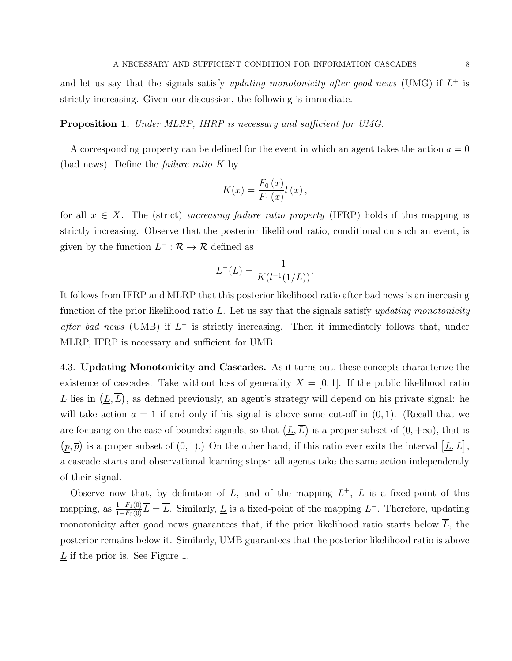and let us say that the signals satisfy *updating monotonicity after good news* (UMG) if  $L^+$  is strictly increasing. Given our discussion, the following is immediate.

Proposition 1. Under MLRP, IHRP is necessary and sufficient for UMG.

A corresponding property can be defined for the event in which an agent takes the action  $a = 0$ (bad news). Define the failure ratio K by

$$
K(x) = \frac{F_0(x)}{F_1(x)} l(x),
$$

for all  $x \in X$ . The (strict) increasing failure ratio property (IFRP) holds if this mapping is strictly increasing. Observe that the posterior likelihood ratio, conditional on such an event, is given by the function  $L^- : \mathcal{R} \to \mathcal{R}$  defined as

$$
L^{-}(L) = \frac{1}{K(l^{-1}(1/L))}.
$$

It follows from IFRP and MLRP that this posterior likelihood ratio after bad news is an increasing function of the prior likelihood ratio L. Let us say that the signals satisfy updating monotonicity after bad news (UMB) if  $L^-$  is strictly increasing. Then it immediately follows that, under MLRP, IFRP is necessary and sufficient for UMB.

4.3. Updating Monotonicity and Cascades. As it turns out, these concepts characterize the existence of cascades. Take without loss of generality  $X = [0, 1]$ . If the public likelihood ratio L lies in  $(\underline{L}, \overline{L})$ , as defined previously, an agent's strategy will depend on his private signal: he will take action  $a = 1$  if and only if his signal is above some cut-off in  $(0, 1)$ . (Recall that we are focusing on the case of bounded signals, so that  $(\underline{L}, \overline{L})$  is a proper subset of  $(0, +\infty)$ , that is  $(p, \overline{p})$  is a proper subset of  $(0, 1)$ .) On the other hand, if this ratio ever exits the interval  $[\underline{L}, \overline{L}]$ , a cascade starts and observational learning stops: all agents take the same action independently of their signal.

Observe now that, by definition of  $\overline{L}$ , and of the mapping  $L^+$ ,  $\overline{L}$  is a fixed-point of this mapping, as  $\frac{1-F_1(0)}{1-F_0(0)}\overline{L}=\overline{L}$ . Similarly,  $\underline{L}$  is a fixed-point of the mapping  $L^-$ . Therefore, updating monotonicity after good news guarantees that, if the prior likelihood ratio starts below  $\overline{L}$ , the posterior remains below it. Similarly, UMB guarantees that the posterior likelihood ratio is above  $\underline{L}$  if the prior is. See Figure 1.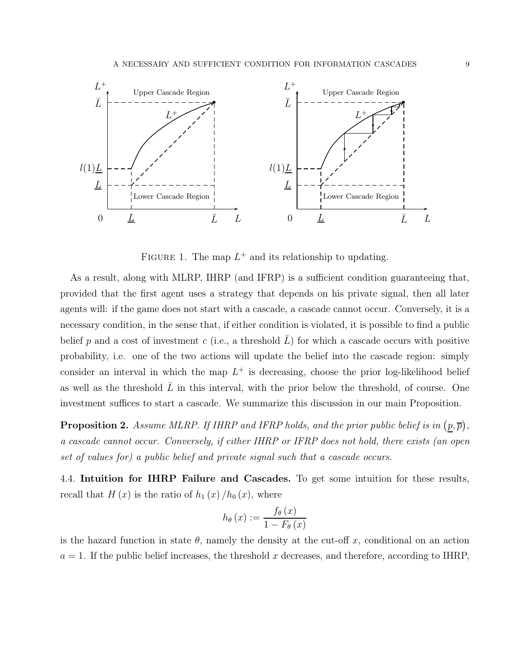

FIGURE 1. The map  $L^+$  and its relationship to updating.

As a result, along with MLRP, IHRP (and IFRP) is a sufficient condition guaranteeing that, provided that the first agent uses a strategy that depends on his private signal, then all later agents will: if the game does not start with a cascade, a cascade cannot occur. Conversely, it is a necessary condition, in the sense that, if either condition is violated, it is possible to find a public belief p and a cost of investment c (i.e., a threshold  $L$ ) for which a cascade occurs with positive probability, i.e. one of the two actions will update the belief into the cascade region: simply consider an interval in which the map  $L^+$  is decreasing, choose the prior log-likelihood belief as well as the threshold  $L$  in this interval, with the prior below the threshold, of course. One investment suffices to start a cascade. We summarize this discussion in our main Proposition.

**Proposition 2.** Assume MLRP. If IHRP and IFRP holds, and the prior public belief is in  $(p, \overline{p})$ , a cascade cannot occur. Conversely, if either IHRP or IFRP does not hold, there exists (an open set of values for) a public belief and private signal such that a cascade occurs.

4.4. Intuition for IHRP Failure and Cascades. To get some intuition for these results, recall that  $H(x)$  is the ratio of  $h_1(x)/h_0(x)$ , where

$$
h_{\theta}\left(x\right) := \frac{f_{\theta}\left(x\right)}{1 - F_{\theta}\left(x\right)}
$$

is the hazard function in state  $\theta$ , namely the density at the cut-off x, conditional on an action  $a = 1$ . If the public belief increases, the threshold x decreases, and therefore, according to IHRP.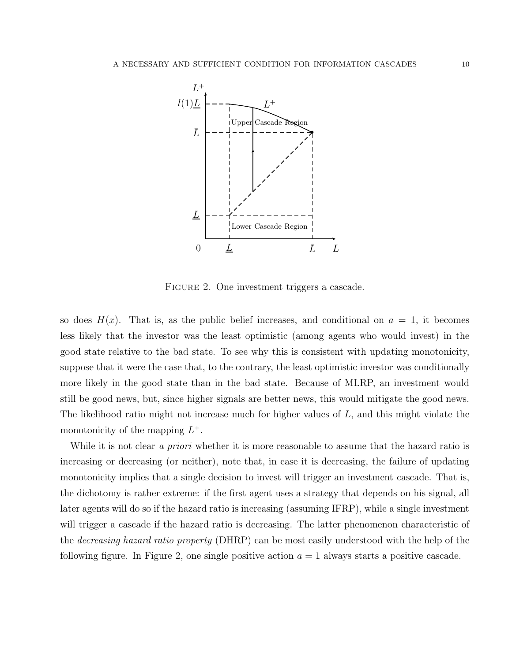

FIGURE 2. One investment triggers a cascade.

so does  $H(x)$ . That is, as the public belief increases, and conditional on  $a = 1$ , it becomes less likely that the investor was the least optimistic (among agents who would invest) in the good state relative to the bad state. To see why this is consistent with updating monotonicity, suppose that it were the case that, to the contrary, the least optimistic investor was conditionally more likely in the good state than in the bad state. Because of MLRP, an investment would still be good news, but, since higher signals are better news, this would mitigate the good news. The likelihood ratio might not increase much for higher values of  $L$ , and this might violate the monotonicity of the mapping  $L^+$ .

While it is not clear a priori whether it is more reasonable to assume that the hazard ratio is increasing or decreasing (or neither), note that, in case it is decreasing, the failure of updating monotonicity implies that a single decision to invest will trigger an investment cascade. That is, the dichotomy is rather extreme: if the first agent uses a strategy that depends on his signal, all later agents will do so if the hazard ratio is increasing (assuming IFRP), while a single investment will trigger a cascade if the hazard ratio is decreasing. The latter phenomenon characteristic of the decreasing hazard ratio property (DHRP) can be most easily understood with the help of the following figure. In Figure 2, one single positive action  $a = 1$  always starts a positive cascade.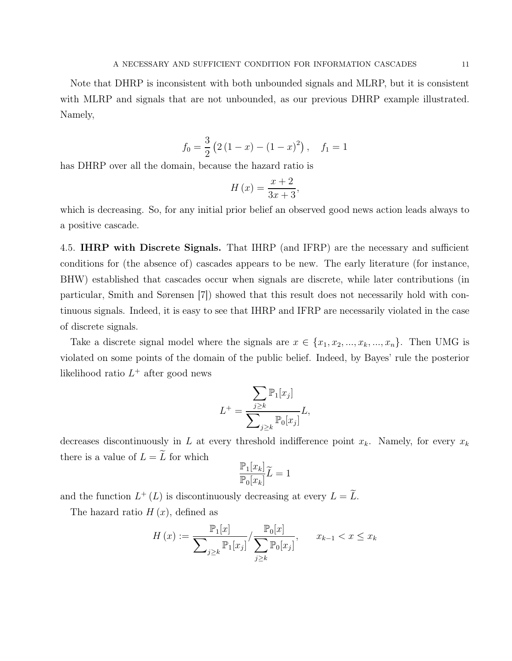Note that DHRP is inconsistent with both unbounded signals and MLRP, but it is consistent with MLRP and signals that are not unbounded, as our previous DHRP example illustrated. Namely,

$$
f_0 = \frac{3}{2} (2 (1 - x) - (1 - x)^2), \quad f_1 = 1
$$

has DHRP over all the domain, because the hazard ratio is

$$
H\left(x\right) = \frac{x+2}{3x+3},
$$

which is decreasing. So, for any initial prior belief an observed good news action leads always to a positive cascade.

4.5. **IHRP with Discrete Signals.** That IHRP (and IFRP) are the necessary and sufficient conditions for (the absence of) cascades appears to be new. The early literature (for instance, BHW) established that cascades occur when signals are discrete, while later contributions (in particular, Smith and Sørensen [7]) showed that this result does not necessarily hold with continuous signals. Indeed, it is easy to see that IHRP and IFRP are necessarily violated in the case of discrete signals.

Take a discrete signal model where the signals are  $x \in \{x_1, x_2, ..., x_k, ..., x_n\}$ . Then UMG is violated on some points of the domain of the public belief. Indeed, by Bayes' rule the posterior likelihood ratio  $L^+$  after good news

$$
L^{+} = \frac{\sum_{j\geq k} \mathbb{P}_{1}[x_{j}]}{\sum_{j\geq k} \mathbb{P}_{0}[x_{j}]} L,
$$

decreases discontinuously in L at every threshold indifference point  $x_k$ . Namely, for every  $x_k$ there is a value of  $L = \widetilde{L}$  for which

$$
\frac{\mathbb{P}_1[x_k]}{\mathbb{P}_0[x_k]}\widetilde{L}=1
$$

and the function  $L^+(L)$  is discontinuously decreasing at every  $L = L$ .

The hazard ratio  $H(x)$ , defined as

$$
H(x) := \frac{\mathbb{P}_1[x]}{\sum_{j \ge k} \mathbb{P}_1[x_j]} / \frac{\mathbb{P}_0[x]}{\sum_{j \ge k} \mathbb{P}_0[x_j]}, \qquad x_{k-1} < x \le x_k
$$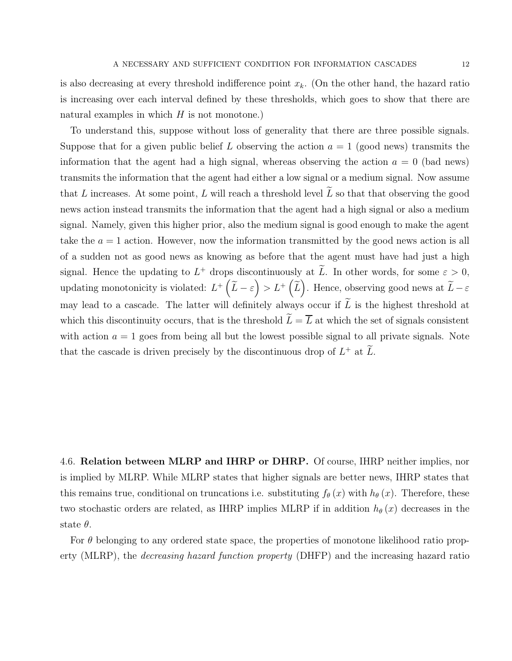is also decreasing at every threshold indifference point  $x_k$ . (On the other hand, the hazard ratio is increasing over each interval defined by these thresholds, which goes to show that there are natural examples in which  $H$  is not monotone.)

To understand this, suppose without loss of generality that there are three possible signals. Suppose that for a given public belief L observing the action  $a = 1$  (good news) transmits the information that the agent had a high signal, whereas observing the action  $a = 0$  (bad news) transmits the information that the agent had either a low signal or a medium signal. Now assume that L increases. At some point, L will reach a threshold level  $\widetilde{L}$  so that that observing the good news action instead transmits the information that the agent had a high signal or also a medium signal. Namely, given this higher prior, also the medium signal is good enough to make the agent take the  $a = 1$  action. However, now the information transmitted by the good news action is all of a sudden not as good news as knowing as before that the agent must have had just a high signal. Hence the updating to  $L^+$  drops discontinuously at  $\tilde{L}$ . In other words, for some  $\varepsilon > 0$ , updating monotonicity is violated:  $L^+\left(\widetilde{L}-\varepsilon\right) > L^+\left(\widetilde{L}\right)$ . Hence, observing good news at  $\widetilde{L}-\varepsilon$ may lead to a cascade. The latter will definitely always occur if  $\widetilde{L}$  is the highest threshold at which this discontinuity occurs, that is the threshold  $\widetilde{L}=\overline{L}$  at which the set of signals consistent with action  $a = 1$  goes from being all but the lowest possible signal to all private signals. Note that the cascade is driven precisely by the discontinuous drop of  $L^+$  at  $\overline{L}$ .

4.6. Relation between MLRP and IHRP or DHRP. Of course, IHRP neither implies, nor is implied by MLRP. While MLRP states that higher signals are better news, IHRP states that this remains true, conditional on truncations i.e. substituting  $f_{\theta}(x)$  with  $h_{\theta}(x)$ . Therefore, these two stochastic orders are related, as IHRP implies MLRP if in addition  $h_{\theta}(x)$  decreases in the state  $\theta$ .

For  $\theta$  belonging to any ordered state space, the properties of monotone likelihood ratio property (MLRP), the decreasing hazard function property (DHFP) and the increasing hazard ratio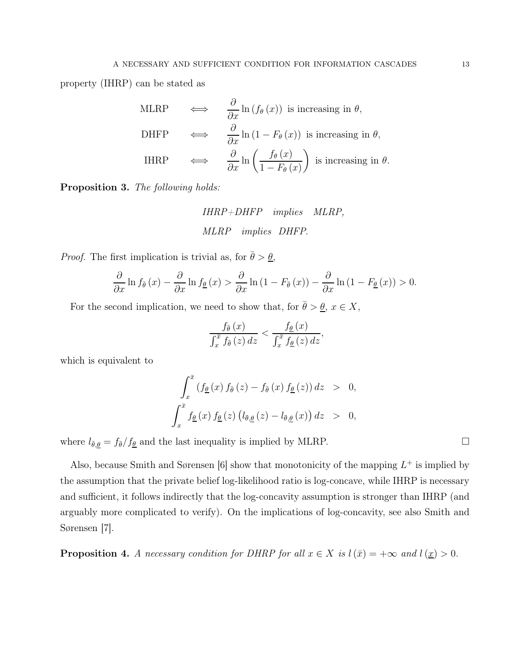property (IHRP) can be stated as

MLRP 
$$
\iff \frac{\partial}{\partial x} \ln(f_{\theta}(x))
$$
 is increasing in  $\theta$ ,  
\nDHFP  $\iff \frac{\partial}{\partial x} \ln(1 - F_{\theta}(x))$  is increasing in  $\theta$ ,  
\nIHRP  $\iff \frac{\partial}{\partial x} \ln\left(\frac{f_{\theta}(x)}{1 - F_{\theta}(x)}\right)$  is increasing in  $\theta$ .

Proposition 3. The following holds:

IHRP+DHFP implies MLRP, MLRP implies DHFP.

*Proof.* The first implication is trivial as, for  $\bar{\theta} > \theta$ ,

$$
\frac{\partial}{\partial x}\ln f_{\overline{\theta}}\left(x\right) - \frac{\partial}{\partial x}\ln f_{\underline{\theta}}\left(x\right) > \frac{\partial}{\partial x}\ln\left(1 - F_{\overline{\theta}}\left(x\right)\right) - \frac{\partial}{\partial x}\ln\left(1 - F_{\underline{\theta}}\left(x\right)\right) > 0.
$$

For the second implication, we need to show that, for  $\bar{\theta} > \underline{\theta}$ ,  $x \in X$ ,

$$
\frac{f_{\overline{\theta}}\left(x\right)}{\int_{x}^{\overline{x}}f_{\overline{\theta}}\left(z\right)dz} < \frac{f_{\underline{\theta}}\left(x\right)}{\int_{x}^{\overline{x}}f_{\underline{\theta}}\left(z\right)dz},
$$

which is equivalent to

$$
\int_{x}^{\bar{x}} \left( f_{\underline{\theta}}(x) f_{\bar{\theta}}(z) - f_{\bar{\theta}}(x) f_{\underline{\theta}}(z) \right) dz > 0,
$$
  

$$
\int_{x}^{\bar{x}} f_{\underline{\theta}}(x) f_{\underline{\theta}}(z) \left( l_{\bar{\theta},\underline{\theta}}(z) - l_{\bar{\theta},\underline{\theta}}(x) \right) dz > 0,
$$

where  $l_{\bar{\theta},\underline{\theta}} = f_{\bar{\theta}}/f_{\underline{\theta}}$  and the last inequality is implied by MLRP.

Also, because Smith and Sørensen [6] show that monotonicity of the mapping  $L^+$  is implied by the assumption that the private belief log-likelihood ratio is log-concave, while IHRP is necessary and sufficient, it follows indirectly that the log-concavity assumption is stronger than IHRP (and arguably more complicated to verify). On the implications of log-concavity, see also Smith and Sørensen [7].

**Proposition 4.** A necessary condition for DHRP for all  $x \in X$  is  $l(\bar{x}) = +\infty$  and  $l(\underline{x}) > 0$ .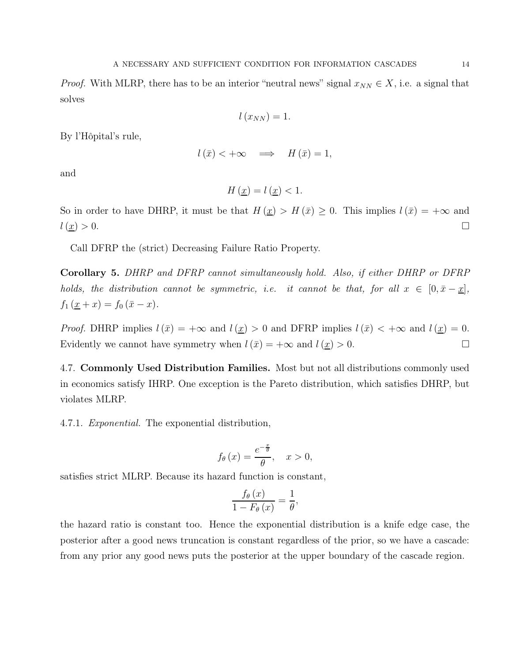*Proof.* With MLRP, there has to be an interior "neutral news" signal  $x_{NN} \in X$ , i.e. a signal that solves

$$
l\left(x_{NN}\right)=1.
$$

By l'Hôpital's rule,

$$
l(\bar{x}) < +\infty \quad \Longrightarrow \quad H(\bar{x}) = 1,
$$

and

$$
H\left(\underline{x}\right) = l\left(\underline{x}\right) < 1.
$$

So in order to have DHRP, it must be that  $H(\underline{x}) > H(\overline{x}) \geq 0$ . This implies  $l(\overline{x}) = +\infty$  and  $l\left(\underline{x}\right) > 0.$ 

Call DFRP the (strict) Decreasing Failure Ratio Property.

Corollary 5. DHRP and DFRP cannot simultaneously hold. Also, if either DHRP or DFRP holds, the distribution cannot be symmetric, i.e. it cannot be that, for all  $x \in [0, \bar{x} - \underline{x}]$ ,  $f_1(\underline{x} + x) = f_0(\bar{x} - x).$ 

*Proof.* DHRP implies  $l(\bar{x}) = +\infty$  and  $l(\underline{x}) > 0$  and DFRP implies  $l(\bar{x}) < +\infty$  and  $l(\underline{x}) = 0$ . Evidently we cannot have symmetry when  $l(\bar{x}) = +\infty$  and  $l(\underline{x}) > 0$ .

4.7. Commonly Used Distribution Families. Most but not all distributions commonly used in economics satisfy IHRP. One exception is the Pareto distribution, which satisfies DHRP, but violates MLRP.

4.7.1. Exponential. The exponential distribution,

$$
f_{\theta}(x) = \frac{e^{-\frac{x}{\theta}}}{\theta}, \quad x > 0,
$$

satisfies strict MLRP. Because its hazard function is constant,

$$
\frac{f_{\theta}\left(x\right)}{1-F_{\theta}\left(x\right)}=\frac{1}{\theta},
$$

the hazard ratio is constant too. Hence the exponential distribution is a knife edge case, the posterior after a good news truncation is constant regardless of the prior, so we have a cascade: from any prior any good news puts the posterior at the upper boundary of the cascade region.